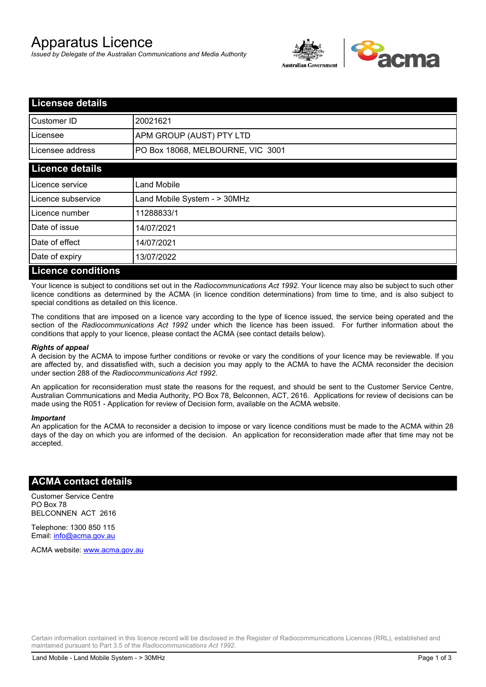# Apparatus Licence

*Issued by Delegate of the Australian Communications and Media Authority*



| <b>Licensee details</b>   |                                   |  |
|---------------------------|-----------------------------------|--|
| Customer ID               | 20021621                          |  |
| l Licensee                | <b>APM GROUP (AUST) PTY LTD</b>   |  |
| Licensee address          | PO Box 18068, MELBOURNE, VIC 3001 |  |
| <b>Licence details</b>    |                                   |  |
| Licence service           | <b>Land Mobile</b>                |  |
| Licence subservice        | Land Mobile System - > 30MHz      |  |
| Licence number            | 11288833/1                        |  |
| Date of issue             | 14/07/2021                        |  |
| Date of effect            | 14/07/2021                        |  |
| Date of expiry            | 13/07/2022                        |  |
| <b>Licence conditions</b> |                                   |  |

Your licence is subject to conditions set out in the *Radiocommunications Act 1992*. Your licence may also be subject to such other licence conditions as determined by the ACMA (in licence condition determinations) from time to time, and is also subject to special conditions as detailed on this licence.

The conditions that are imposed on a licence vary according to the type of licence issued, the service being operated and the section of the *Radiocommunications Act 1992* under which the licence has been issued. For further information about the conditions that apply to your licence, please contact the ACMA (see contact details below).

#### *Rights of appeal*

A decision by the ACMA to impose further conditions or revoke or vary the conditions of your licence may be reviewable. If you are affected by, and dissatisfied with, such a decision you may apply to the ACMA to have the ACMA reconsider the decision under section 288 of the *Radiocommunications Act 1992*.

An application for reconsideration must state the reasons for the request, and should be sent to the Customer Service Centre, Australian Communications and Media Authority, PO Box 78, Belconnen, ACT, 2616. Applications for review of decisions can be made using the R051 - Application for review of Decision form, available on the ACMA website.

#### *Important*

An application for the ACMA to reconsider a decision to impose or vary licence conditions must be made to the ACMA within 28 days of the day on which you are informed of the decision. An application for reconsideration made after that time may not be accepted.

### **ACMA contact details**

Customer Service Centre PO Box 78 BELCONNEN ACT 2616

Telephone: 1300 850 115 Email: info@acma.gov.au

ACMA website: www.acma.gov.au

Certain information contained in this licence record will be disclosed in the Register of Radiocommunications Licences (RRL), established and maintained pursuant to Part 3.5 of the *Radiocommunications Act 1992.*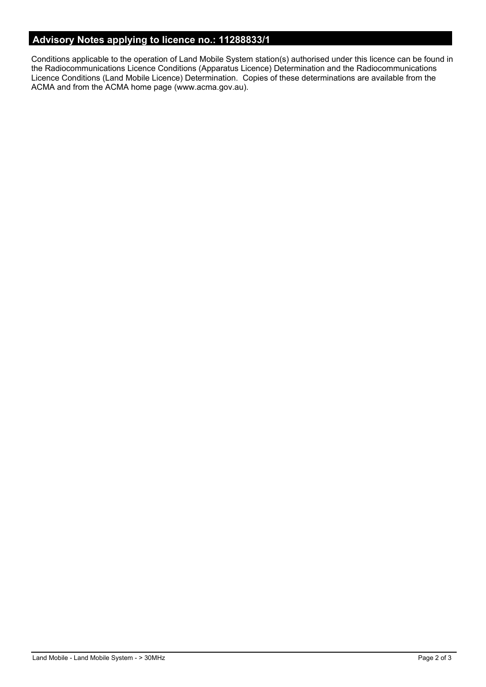# **Advisory Notes applying to licence no.: 11288833/1**

Conditions applicable to the operation of Land Mobile System station(s) authorised under this licence can be found in the Radiocommunications Licence Conditions (Apparatus Licence) Determination and the Radiocommunications Licence Conditions (Land Mobile Licence) Determination. Copies of these determinations are available from the ACMA and from the ACMA home page (www.acma.gov.au).